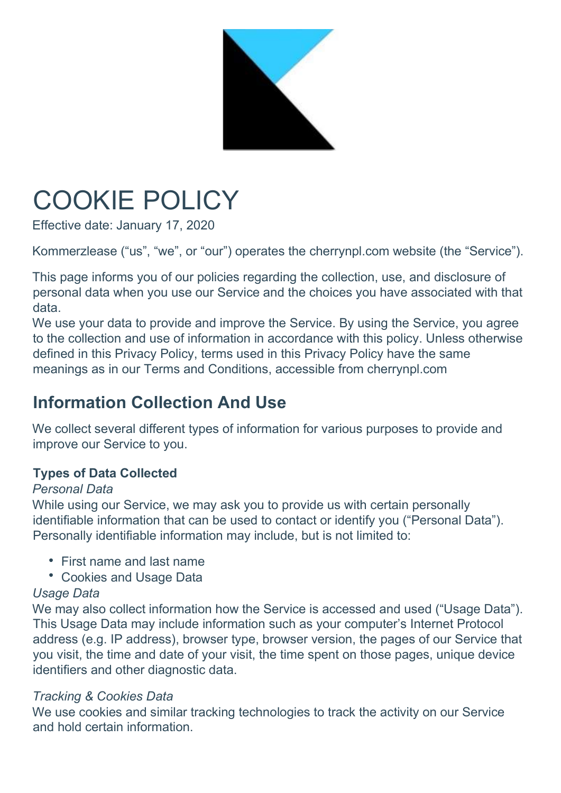

# COOKIE POLICY

Effective date: January 17, 2020

Kommerzlease ("us", "we", or "our") operates the cherrynpl.com website (the "Service").

This page informs you of our policies regarding the collection, use, and disclosure of personal data when you use our Service and the choices you have associated with that data.

We use your data to provide and improve the Service. By using the Service, you agree to the collection and use of information in accordance with this policy. Unless otherwise defined in this Privacy Policy, terms used in this Privacy Policy have the same meanings as in our Terms and Conditions, accessible from cherrynpl.com

# Information Collection And Use

We collect several different types of information for various purposes to provide and improve our Service to you.

#### Types of Data Collected

#### Personal Data

While using our Service, we may ask you to provide us with certain personally identifiable information that can be used to contact or identify you ("Personal Data"). Personally identifiable information may include, but is not limited to:

- First name and last name
- Cookies and Usage Data

#### Usage Data

We may also collect information how the Service is accessed and used ("Usage Data"). This Usage Data may include information such as your computer's Internet Protocol address (e.g. IP address), browser type, browser version, the pages of our Service that you visit, the time and date of your visit, the time spent on those pages, unique device identifiers and other diagnostic data.

#### Tracking & Cookies Data

We use cookies and similar tracking technologies to track the activity on our Service and hold certain information.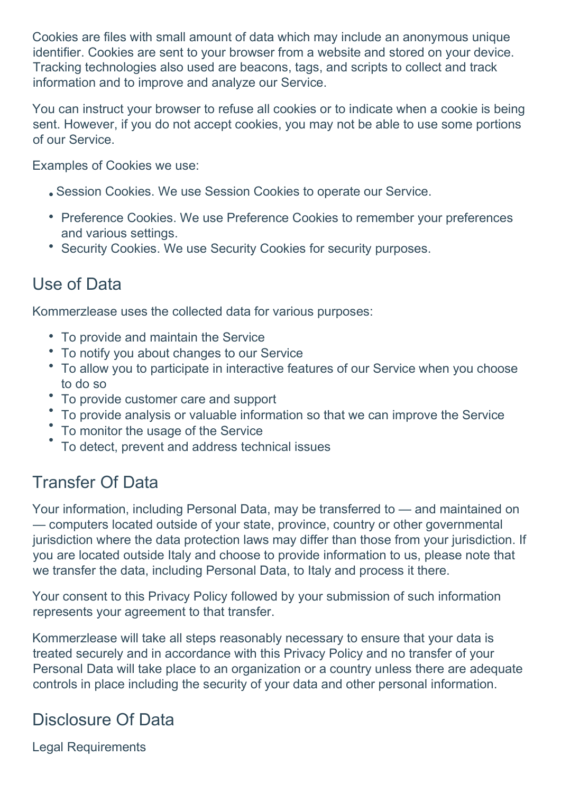Cookies are files with small amount of data which may include an anonymous unique identifier. Cookies are sent to your browser from a website and stored on your device. Tracking technologies also used are beacons, tags, and scripts to collect and track information and to improve and analyze our Service.

You can instruct your browser to refuse all cookies or to indicate when a cookie is being sent. However, if you do not accept cookies, you may not be able to use some portions of our Service.

Examples of Cookies we use:

- Session Cookies. We use Session Cookies to operate our Service.
- Preference Cookies. We use Preference Cookies to remember your preferences and various settings.
- Security Cookies. We use Security Cookies for security purposes.

#### Use of Data

Kommerzlease uses the collected data for various purposes:

- To provide and maintain the Service
- To notify you about changes to our Service
- To allow you to participate in interactive features of our Service when you choose to do so
- To provide customer care and support
- To provide analysis or valuable information so that we can improve the Service
- To monitor the usage of the Service
- To detect, prevent and address technical issues

## Transfer Of Data

Your information, including Personal Data, may be transferred to — and maintained on — computers located outside of your state, province, country or other governmental jurisdiction where the data protection laws may differ than those from your jurisdiction. If you are located outside Italy and choose to provide information to us, please note that we transfer the data, including Personal Data, to Italy and process it there.

Your consent to this Privacy Policy followed by your submission of such information represents your agreement to that transfer.

Kommerzlease will take all steps reasonably necessary to ensure that your data is treated securely and in accordance with this Privacy Policy and no transfer of your Personal Data will take place to an organization or a country unless there are adequate controls in place including the security of your data and other personal information.

## Disclosure Of Data

Legal Requirements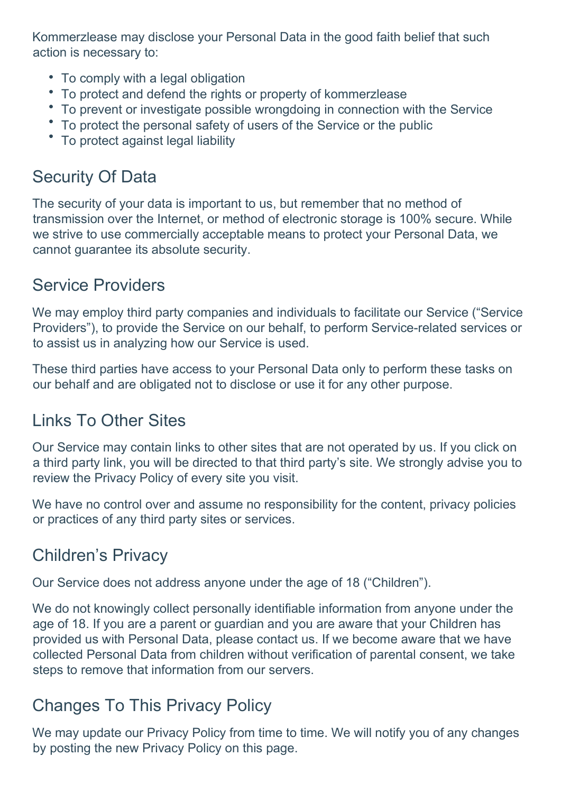Kommerzlease may disclose your Personal Data in the good faith belief that such action is necessary to:

- To comply with a legal obligation
- To protect and defend the rights or property of kommerzlease
- To prevent or investigate possible wrongdoing in connection with the Service
- To protect the personal safety of users of the Service or the public
- To protect against legal liability

## Security Of Data

The security of your data is important to us, but remember that no method of transmission over the Internet, or method of electronic storage is 100% secure. While we strive to use commercially acceptable means to protect your Personal Data, we cannot guarantee its absolute security.

#### Service Providers

We may employ third party companies and individuals to facilitate our Service ("Service Providers"), to provide the Service on our behalf, to perform Service-related services or to assist us in analyzing how our Service is used.

These third parties have access to your Personal Data only to perform these tasks on our behalf and are obligated not to disclose or use it for any other purpose.

## Links To Other Sites

Our Service may contain links to other sites that are not operated by us. If you click on a third party link, you will be directed to that third party's site. We strongly advise you to review the Privacy Policy of every site you visit.

We have no control over and assume no responsibility for the content, privacy policies or practices of any third party sites or services.

## Children's Privacy

Our Service does not address anyone under the age of 18 ("Children").

We do not knowingly collect personally identifiable information from anyone under the age of 18. If you are a parent or guardian and you are aware that your Children has provided us with Personal Data, please contact us. If we become aware that we have collected Personal Data from children without verification of parental consent, we take steps to remove that information from our servers.

# Changes To This Privacy Policy

We may update our Privacy Policy from time to time. We will notify you of any changes by posting the new Privacy Policy on this page.